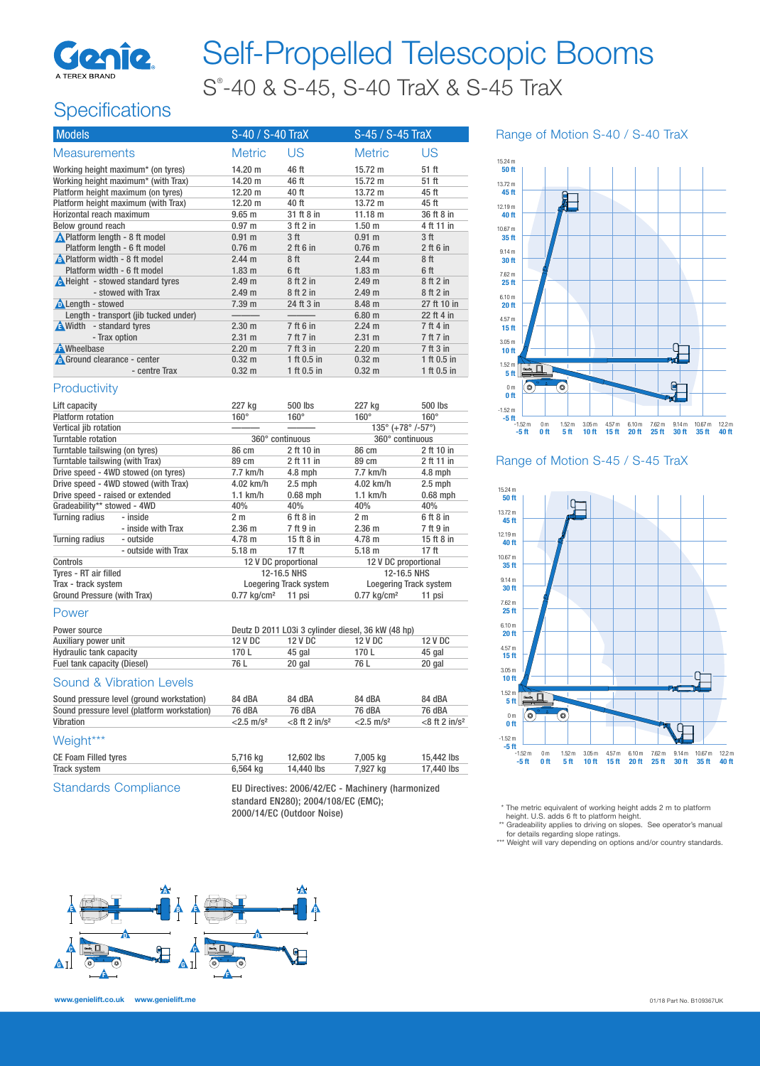

# Self-Propelled Telescopic Booms S® -40 & S-45, S-40 TraX & S-45 TraX

# **Specifications**

| <b>Models</b>                           | S-40 / S-40 TraX  |                 | S-45 / S-45 TraX  |             |
|-----------------------------------------|-------------------|-----------------|-------------------|-------------|
| <b>Measurements</b>                     | <b>Metric</b>     | US              | <b>Metric</b>     | US          |
| Working height maximum* (on tyres)      | 14.20 m           | 46 ft           | $15.72 \text{ m}$ | 51 ft       |
| Working height maximum* (with Trax)     | 14.20 m           | 46 ft           | $15.72 \text{ m}$ | 51 ft       |
| Platform height maximum (on tyres)      | 12.20 m           | 40 ft           | $13.72 \text{ m}$ | 45 ft       |
| Platform height maximum (with Trax)     | 12.20 m           | 40 ft           | $13.72 \text{ m}$ | 45 ft       |
| Horizontal reach maximum                | $9.65$ m          | 31 ft 8 in      | 11.18 m           | 36 ft 8 in  |
| Below ground reach                      | 0.97 m            | 3 ft 2 in       | 1.50 <sub>m</sub> | 4 ft 11 in  |
| ▲ Platform length - 8 ft model          | 0.91 m            | 3 <sup>ft</sup> | 0.91 m            | 3 ft        |
| Platform length - 6 ft model            | 0.76 <sub>m</sub> | $2$ ft 6 in     | $0.76$ m          | $2$ ft 6 in |
| <b>A</b> Platform width - 8 ft model    | $2.44 \text{ m}$  | 8 ft            | $2.44 \text{ m}$  | 8 ft        |
| Platform width - 6 ft model             | 1.83 <sub>m</sub> | 6 ft            | 1.83 <sub>m</sub> | 6 ft        |
| <b>A</b> Height - stowed standard tyres | 2.49 <sub>m</sub> | 8 ft 2 in       | 2.49 m            | 8ft2in      |
| - stowed with Trax                      | 2.49 <sub>m</sub> | 8 ft 2 in       | 2.49 <sub>m</sub> | 8ft2in      |
| <b>ALength</b> - stowed                 | 7.39 m            | 24 ft 3 in      | $8.48 \text{ m}$  | 27 ft 10 in |
| Length - transport (jib tucked under)   |                   |                 | 6.80 m            | 22 ft 4 in  |
| A Width - standard tyres                | 2.30 <sub>m</sub> | 7 ft 6 in       | $2.24 \text{ m}$  | 7 ft 4 in   |
| - Trax option                           | 2.31 m            | 7 ft 7 in       | 2.31 m            | 7 ft 7 in   |
| <b>A</b> Wheelbase                      | $2.20 \text{ m}$  | 7 ft 3 in       | $2.20 \text{ m}$  | 7 ft 3 in   |
| <b>A</b> Ground clearance - center      | $0.32 \; m$       | 1 ft $0.5$ in   | $0.32 \text{ m}$  | 1 ft 0.5 in |
| - centre Trax                           | 0.32 <sub>m</sub> | 1 ft $0.5$ in   | $0.32 \text{ m}$  | 1 ft 0.5 in |

#### **Productivity**

| Lift capacity                    |                                      | 227 kg                           | 500 lbs                                          | 227 kg                                          | 500 lbs       |
|----------------------------------|--------------------------------------|----------------------------------|--------------------------------------------------|-------------------------------------------------|---------------|
| <b>Platform rotation</b>         |                                      | $160^\circ$                      | $160^\circ$                                      | $160^\circ$                                     | $160^\circ$   |
| Vertical jib rotation            |                                      |                                  |                                                  | $135^{\circ}$ (+78 $^{\circ}$ /-57 $^{\circ}$ ) |               |
| Turntable rotation               |                                      |                                  | 360° continuous                                  | 360° continuous                                 |               |
| Turntable tailswing (on tyres)   |                                      | 86 cm                            | 2 ft 10 in                                       | 86 cm                                           | 2 ft 10 in    |
| Turntable tailswing (with Trax)  |                                      | 89 cm                            | 2 ft 11 in                                       | 89 cm                                           | 2 ft 11 in    |
|                                  | Drive speed - 4WD stowed (on tyres)  | 7.7 km/h                         | $4.8$ mph                                        | 7.7 km/h                                        | $4.8$ mph     |
|                                  | Drive speed - 4WD stowed (with Trax) | 4.02 km/h                        | $2.5$ mph                                        | 4.02 km/h                                       | $2.5$ mph     |
| Drive speed - raised or extended |                                      | $1.1$ km/h                       | $0.68$ mph                                       | $1.1$ km/h                                      | $0.68$ mph    |
| Gradeability** stowed - 4WD      |                                      | 40%                              | 40%                                              | 40%<br>40%                                      |               |
| <b>Turning radius</b>            | - inside                             | 2 <sub>m</sub>                   | 6 ft 8 in                                        | 2 <sub>m</sub>                                  | $6$ ft $8$ in |
|                                  | - inside with Trax                   | 2.36 <sub>m</sub>                | 7 ft 9 in                                        | 2.36 <sub>m</sub>                               | 7 ft 9 in     |
| Turning radius                   | - outside                            | $4.78 \text{ m}$                 | 15 ft 8 in                                       | $4.78 \text{ m}$                                | 15 ft 8 in    |
|                                  | - outside with Trax                  | $5.18$ m                         | 17 ft                                            | $5.18$ m                                        | 17 ft         |
| Controls                         |                                      |                                  | 12 V DC proportional<br>12 V DC proportional     |                                                 |               |
| Tyres - RT air filled            |                                      |                                  | 12-16.5 NHS                                      | 12-16.5 NHS                                     |               |
| Trax - track system              |                                      |                                  | Loegering Track system<br>Loegering Track system |                                                 |               |
| Ground Pressure (with Trax)      |                                      | $0.77$ kg/cm <sup>2</sup> 11 psi |                                                  | $0.77$ kg/cm <sup>2</sup><br>11 psi             |               |

#### Power

| Power source                | Deutz D 2011 L03i 3 cylinder diesel, 36 kW (48 hp) |         |         |         |
|-----------------------------|----------------------------------------------------|---------|---------|---------|
| Auxiliary power unit        | 12 V DC                                            | 12 V DC | 12 V DC | 12 V DC |
| Hydraulic tank capacity     | 170 L                                              | 45 gal  | 170 L   | 45 gal  |
| Fuel tank capacity (Diesel) | 76 L                                               | 20 gal  | 76 L    | 20 gal  |
| Sound & Vibration Levels    |                                                    |         |         |         |

#### Sound & Vibration Levels

| Sound pressure level (ground workstation)   | 84 dBA                   | 84 dBA                       | 84 dBA                   | 84 dBA                       |
|---------------------------------------------|--------------------------|------------------------------|--------------------------|------------------------------|
| Sound pressure level (platform workstation) | 76 dBA                   | 76 dBA                       | 76 dBA                   | 76 dBA                       |
| Vibration                                   | $<$ 2.5 m/s <sup>2</sup> | $<$ 8 ft 2 in/s <sup>2</sup> | $< 2.5$ m/s <sup>2</sup> | $<$ 8 ft 2 in/s <sup>2</sup> |
| Weight***                                   |                          |                              |                          |                              |

| CE Foam Filled tyres | 5.716 ka | 12,602 lbs | 7,005 kg | 15,442 lbs |
|----------------------|----------|------------|----------|------------|
| Track system         | 6.564 ka | 14,440 lbs | 7,927 kg | 17,440 lbs |
|                      |          |            |          |            |

Standards Compliance EU Directives: 2006/42/EC - Machinery (harmonized standard EN280); 2004/108/EC (EMC); 2000/14/EC (Outdoor Noise)





Range of Motion S-45 / S-45 TraX



\* The metric equivalent of working height adds 2 m to platform

height. U.S. adds 6 ft to platform height.<br>\*\* Gradeability applies to driving on slopes. See operator's manual

for details regarding slope ratings. \*\*\* Weight will vary depending on options and/or country standards.